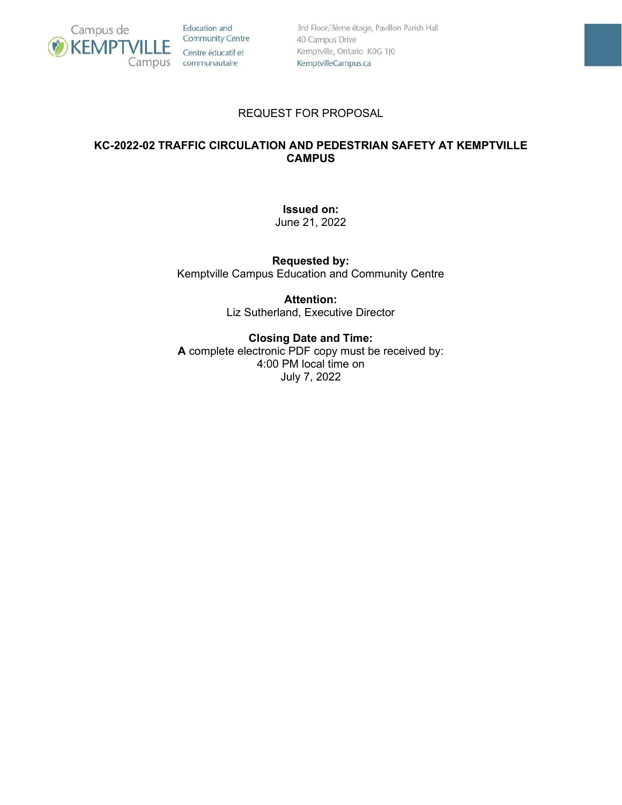

Education and **Community Centre** Centre éducatif et Campus communautaire

3rd Floor/3ème étage, Pavillon Parish Hall 40 Campus Drive Kemptville, Ontario K0G 1J0 KemptvilleCampus.ca

## REQUEST FOR PROPOSAL

## **KC-2022-02 TRAFFIC CIRCULATION AND PEDESTRIAN SAFETY AT KEMPTVILLE CAMPUS**

**Issued on:**

June 21, 2022

**Requested by:** Kemptville Campus Education and Community Centre

> **Attention:** Liz Sutherland, Executive Director

## **Closing Date and Time:**

**A** complete electronic PDF copy must be received by: 4:00 PM local time on July 7, 2022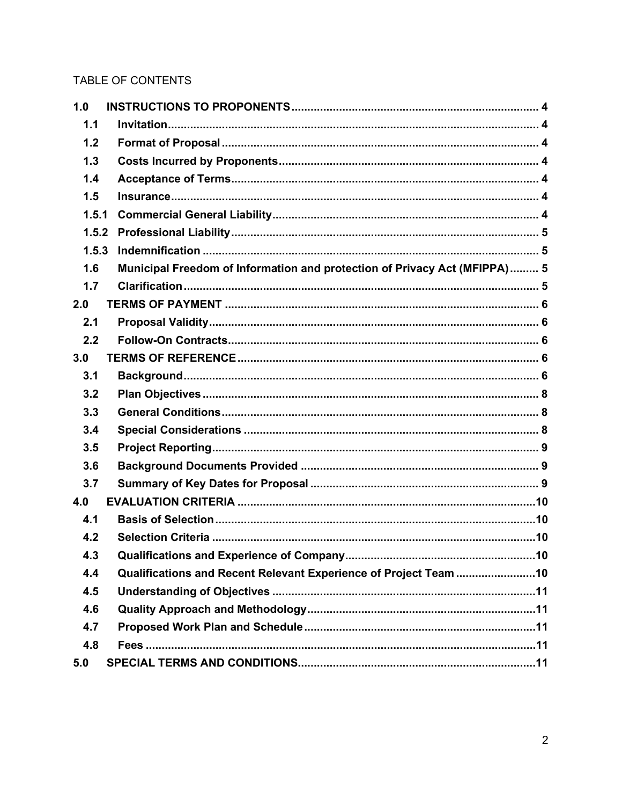# TABLE OF CONTENTS

| 1.0   |                                                                           |
|-------|---------------------------------------------------------------------------|
| 1.1   |                                                                           |
| 1.2   |                                                                           |
| 1.3   |                                                                           |
| 1.4   |                                                                           |
| 1.5   |                                                                           |
| 1.5.1 |                                                                           |
| 1.5.2 |                                                                           |
| 1.5.3 |                                                                           |
| 1.6   | Municipal Freedom of Information and protection of Privacy Act (MFIPPA) 5 |
| 1.7   |                                                                           |
| 2.0   |                                                                           |
| 2.1   |                                                                           |
| 2.2   |                                                                           |
| 3.0   |                                                                           |
| 3.1   |                                                                           |
| 3.2   |                                                                           |
| 3.3   |                                                                           |
| 3.4   |                                                                           |
| 3.5   |                                                                           |
| 3.6   |                                                                           |
| 3.7   |                                                                           |
| 4.0   |                                                                           |
| 4.1   |                                                                           |
| 4.2   |                                                                           |
| 4.3   |                                                                           |
| 4.4   | Qualifications and Recent Relevant Experience of Project Team 10          |
| 4.5   |                                                                           |
| 4.6   |                                                                           |
| 4.7   |                                                                           |
| 4.8   |                                                                           |
| 5.0   |                                                                           |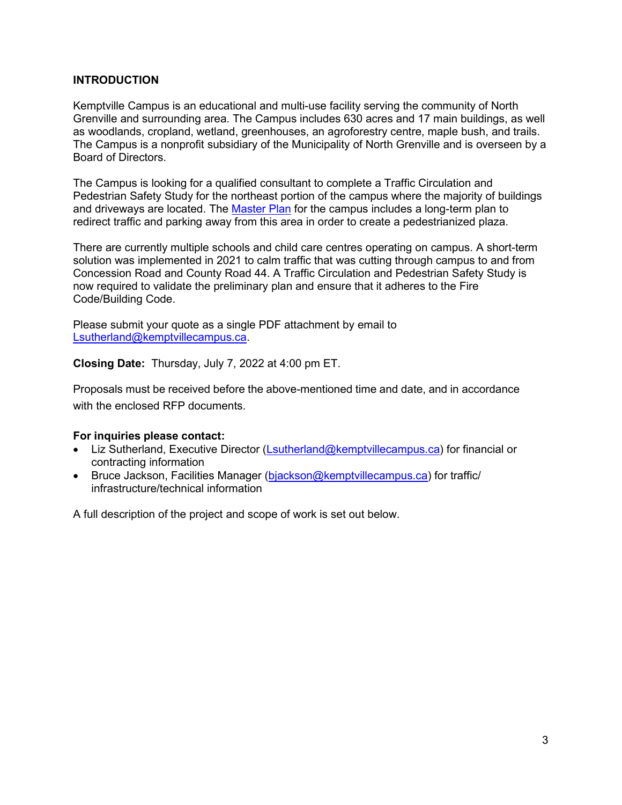## **INTRODUCTION**

Kemptville Campus is an educational and multi-use facility serving the community of North Grenville and surrounding area. The Campus includes 630 acres and 17 main buildings, as well as woodlands, cropland, wetland, greenhouses, an agroforestry centre, maple bush, and trails. The Campus is a nonprofit subsidiary of the Municipality of North Grenville and is overseen by a Board of Directors.

The Campus is looking for a qualified consultant to complete a Traffic Circulation and Pedestrian Safety Study for the northeast portion of the campus where the majority of buildings and driveways are located. The [Master Plan](https://www.kemptvillecampus.ca/regen) for the campus includes a long-term plan to redirect traffic and parking away from this area in order to create a pedestrianized plaza.

There are currently multiple schools and child care centres operating on campus. A short-term solution was implemented in 2021 to calm traffic that was cutting through campus to and from Concession Road and County Road 44. A Traffic Circulation and Pedestrian Safety Study is now required to validate the preliminary plan and ensure that it adheres to the Fire Code/Building Code.

Please submit your quote as a single PDF attachment by email to [Lsutherland@kemptvillecampus.ca.](mailto:Lsutherland@kemptvillecampus.ca)

**Closing Date:** Thursday, July 7, 2022 at 4:00 pm ET.

Proposals must be received before the above-mentioned time and date, and in accordance with the enclosed RFP documents.

#### **For inquiries please contact:**

- Liz Sutherland, Executive Director [\(Lsutherland@kemptvillecampus.ca\)](mailto:Lsutherland@kemptvillecampus.ca) for financial or contracting information
- Bruce Jackson, Facilities Manager [\(bjackson@kemptvillecampus.ca\)](mailto:bjackson@kemptvillecampus.ca) for traffic/ infrastructure/technical information

A full description of the project and scope of work is set out below.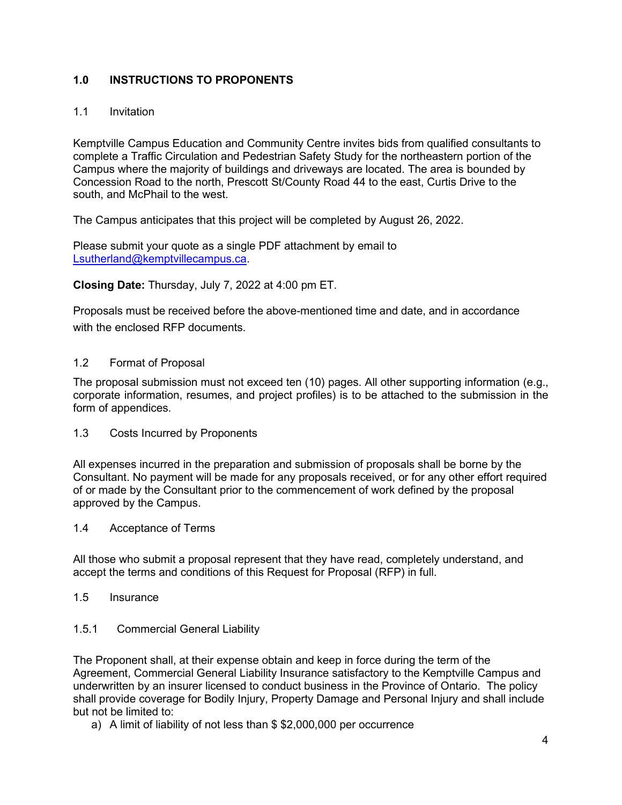## <span id="page-3-0"></span>**1.0 INSTRUCTIONS TO PROPONENTS**

## <span id="page-3-1"></span>1.1 Invitation

Kemptville Campus Education and Community Centre invites bids from qualified consultants to complete a Traffic Circulation and Pedestrian Safety Study for the northeastern portion of the Campus where the majority of buildings and driveways are located. The area is bounded by Concession Road to the north, Prescott St/County Road 44 to the east, Curtis Drive to the south, and McPhail to the west.

The Campus anticipates that this project will be completed by August 26, 2022.

Please submit your quote as a single PDF attachment by email to [Lsutherland@kemptvillecampus.ca.](mailto:Lsutherland@kemptvillecampus.ca)

#### **Closing Date:** Thursday, July 7, 2022 at 4:00 pm ET.

Proposals must be received before the above-mentioned time and date, and in accordance with the enclosed RFP documents.

## <span id="page-3-2"></span>1.2 Format of Proposal

The proposal submission must not exceed ten (10) pages. All other supporting information (e.g., corporate information, resumes, and project profiles) is to be attached to the submission in the form of appendices.

<span id="page-3-3"></span>1.3 Costs Incurred by Proponents

All expenses incurred in the preparation and submission of proposals shall be borne by the Consultant. No payment will be made for any proposals received, or for any other effort required of or made by the Consultant prior to the commencement of work defined by the proposal approved by the Campus.

#### <span id="page-3-4"></span>1.4 Acceptance of Terms

All those who submit a proposal represent that they have read, completely understand, and accept the terms and conditions of this Request for Proposal (RFP) in full.

#### <span id="page-3-5"></span>1.5 Insurance

#### <span id="page-3-6"></span>1.5.1 Commercial General Liability

The Proponent shall, at their expense obtain and keep in force during the term of the Agreement, Commercial General Liability Insurance satisfactory to the Kemptville Campus and underwritten by an insurer licensed to conduct business in the Province of Ontario. The policy shall provide coverage for Bodily Injury, Property Damage and Personal Injury and shall include but not be limited to:

a) A limit of liability of not less than \$ \$2,000,000 per occurrence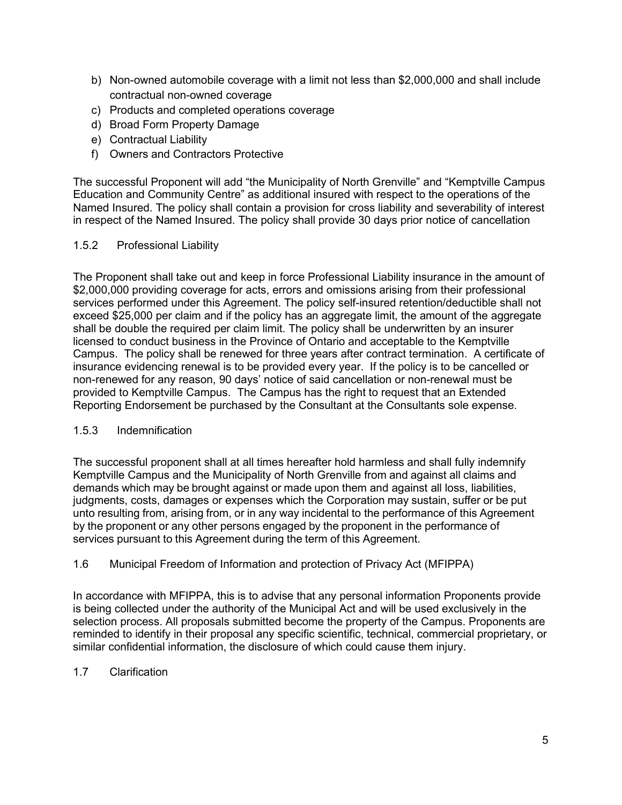- b) Non-owned automobile coverage with a limit not less than \$2,000,000 and shall include contractual non-owned coverage
- c) Products and completed operations coverage
- d) Broad Form Property Damage
- e) Contractual Liability
- f) Owners and Contractors Protective

The successful Proponent will add "the Municipality of North Grenville" and "Kemptville Campus Education and Community Centre" as additional insured with respect to the operations of the Named Insured. The policy shall contain a provision for cross liability and severability of interest in respect of the Named Insured. The policy shall provide 30 days prior notice of cancellation

#### <span id="page-4-0"></span>1.5.2 Professional Liability

The Proponent shall take out and keep in force Professional Liability insurance in the amount of \$2,000,000 providing coverage for acts, errors and omissions arising from their professional services performed under this Agreement. The policy self-insured retention/deductible shall not exceed \$25,000 per claim and if the policy has an aggregate limit, the amount of the aggregate shall be double the required per claim limit. The policy shall be underwritten by an insurer licensed to conduct business in the Province of Ontario and acceptable to the Kemptville Campus. The policy shall be renewed for three years after contract termination. A certificate of insurance evidencing renewal is to be provided every year. If the policy is to be cancelled or non-renewed for any reason, 90 days' notice of said cancellation or non-renewal must be provided to Kemptville Campus. The Campus has the right to request that an Extended Reporting Endorsement be purchased by the Consultant at the Consultants sole expense.

#### <span id="page-4-1"></span>1.5.3 Indemnification

The successful proponent shall at all times hereafter hold harmless and shall fully indemnify Kemptville Campus and the Municipality of North Grenville from and against all claims and demands which may be brought against or made upon them and against all loss, liabilities, judgments, costs, damages or expenses which the Corporation may sustain, suffer or be put unto resulting from, arising from, or in any way incidental to the performance of this Agreement by the proponent or any other persons engaged by the proponent in the performance of services pursuant to this Agreement during the term of this Agreement.

<span id="page-4-2"></span>1.6 Municipal Freedom of Information and protection of Privacy Act (MFIPPA)

In accordance with MFIPPA, this is to advise that any personal information Proponents provide is being collected under the authority of the Municipal Act and will be used exclusively in the selection process. All proposals submitted become the property of the Campus. Proponents are reminded to identify in their proposal any specific scientific, technical, commercial proprietary, or similar confidential information, the disclosure of which could cause them injury.

#### <span id="page-4-3"></span>1.7 Clarification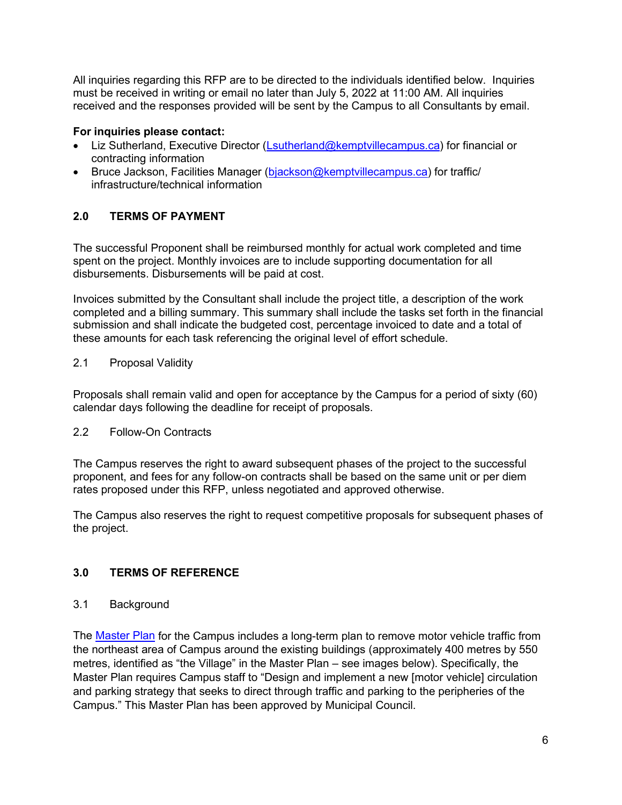All inquiries regarding this RFP are to be directed to the individuals identified below. Inquiries must be received in writing or email no later than July 5, 2022 at 11:00 AM. All inquiries received and the responses provided will be sent by the Campus to all Consultants by email.

## **For inquiries please contact:**

- Liz Sutherland, Executive Director [\(Lsutherland@kemptvillecampus.ca\)](mailto:Lsutherland@kemptvillecampus.ca) for financial or contracting information
- Bruce Jackson, Facilities Manager [\(bjackson@kemptvillecampus.ca\)](mailto:bjackson@kemptvillecampus.ca) for traffic/ infrastructure/technical information

## <span id="page-5-0"></span>**2.0 TERMS OF PAYMENT**

The successful Proponent shall be reimbursed monthly for actual work completed and time spent on the project. Monthly invoices are to include supporting documentation for all disbursements. Disbursements will be paid at cost.

Invoices submitted by the Consultant shall include the project title, a description of the work completed and a billing summary. This summary shall include the tasks set forth in the financial submission and shall indicate the budgeted cost, percentage invoiced to date and a total of these amounts for each task referencing the original level of effort schedule.

## <span id="page-5-1"></span>2.1 Proposal Validity

Proposals shall remain valid and open for acceptance by the Campus for a period of sixty (60) calendar days following the deadline for receipt of proposals.

#### <span id="page-5-2"></span>2.2 Follow-On Contracts

The Campus reserves the right to award subsequent phases of the project to the successful proponent, and fees for any follow-on contracts shall be based on the same unit or per diem rates proposed under this RFP, unless negotiated and approved otherwise.

The Campus also reserves the right to request competitive proposals for subsequent phases of the project.

## <span id="page-5-3"></span>**3.0 TERMS OF REFERENCE**

## <span id="page-5-4"></span>3.1 Background

The [Master Plan](https://www.kemptvillecampus.ca/regen) for the Campus includes a long-term plan to remove motor vehicle traffic from the northeast area of Campus around the existing buildings (approximately 400 metres by 550 metres, identified as "the Village" in the Master Plan – see images below). Specifically, the Master Plan requires Campus staff to "Design and implement a new [motor vehicle] circulation and parking strategy that seeks to direct through traffic and parking to the peripheries of the Campus." This Master Plan has been approved by Municipal Council.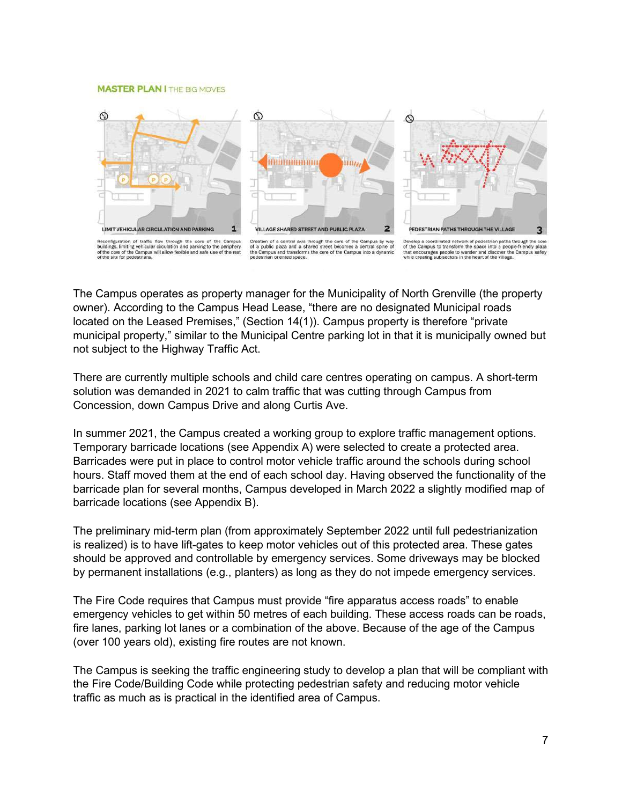#### **MASTER PLAN I** THE BIG MOVES



The Campus operates as property manager for the Municipality of North Grenville (the property owner). According to the Campus Head Lease, "there are no designated Municipal roads located on the Leased Premises," (Section 14(1)). Campus property is therefore "private municipal property," similar to the Municipal Centre parking lot in that it is municipally owned but not subject to the Highway Traffic Act.

There are currently multiple schools and child care centres operating on campus. A short-term solution was demanded in 2021 to calm traffic that was cutting through Campus from Concession, down Campus Drive and along Curtis Ave.

In summer 2021, the Campus created a working group to explore traffic management options. Temporary barricade locations (see Appendix A) were selected to create a protected area. Barricades were put in place to control motor vehicle traffic around the schools during school hours. Staff moved them at the end of each school day. Having observed the functionality of the barricade plan for several months, Campus developed in March 2022 a slightly modified map of barricade locations (see Appendix B).

The preliminary mid-term plan (from approximately September 2022 until full pedestrianization is realized) is to have lift-gates to keep motor vehicles out of this protected area. These gates should be approved and controllable by emergency services. Some driveways may be blocked by permanent installations (e.g., planters) as long as they do not impede emergency services.

The Fire Code requires that Campus must provide "fire apparatus access roads" to enable emergency vehicles to get within 50 metres of each building. These access roads can be roads, fire lanes, parking lot lanes or a combination of the above. Because of the age of the Campus (over 100 years old), existing fire routes are not known.

The Campus is seeking the traffic engineering study to develop a plan that will be compliant with the Fire Code/Building Code while protecting pedestrian safety and reducing motor vehicle traffic as much as is practical in the identified area of Campus.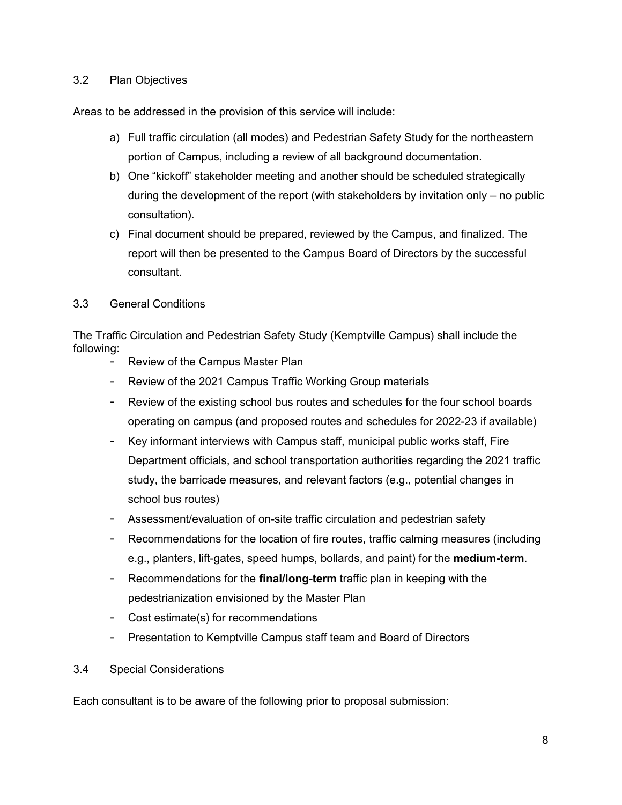#### <span id="page-7-0"></span>3.2 Plan Objectives

Areas to be addressed in the provision of this service will include:

- a) Full traffic circulation (all modes) and Pedestrian Safety Study for the northeastern portion of Campus, including a review of all background documentation.
- b) One "kickoff" stakeholder meeting and another should be scheduled strategically during the development of the report (with stakeholders by invitation only – no public consultation).
- c) Final document should be prepared, reviewed by the Campus, and finalized. The report will then be presented to the Campus Board of Directors by the successful consultant.

#### <span id="page-7-1"></span>3.3 General Conditions

The Traffic Circulation and Pedestrian Safety Study (Kemptville Campus) shall include the following:

- Review of the Campus Master Plan
- Review of the 2021 Campus Traffic Working Group materials
- Review of the existing school bus routes and schedules for the four school boards operating on campus (and proposed routes and schedules for 2022-23 if available)
- Key informant interviews with Campus staff, municipal public works staff, Fire Department officials, and school transportation authorities regarding the 2021 traffic study, the barricade measures, and relevant factors (e.g., potential changes in school bus routes)
- Assessment/evaluation of on-site traffic circulation and pedestrian safety
- Recommendations for the location of fire routes, traffic calming measures (including e.g., planters, lift-gates, speed humps, bollards, and paint) for the **medium-term**.
- Recommendations for the **final/long-term** traffic plan in keeping with the pedestrianization envisioned by the Master Plan
- Cost estimate(s) for recommendations
- Presentation to Kemptville Campus staff team and Board of Directors
- <span id="page-7-2"></span>3.4 Special Considerations

Each consultant is to be aware of the following prior to proposal submission: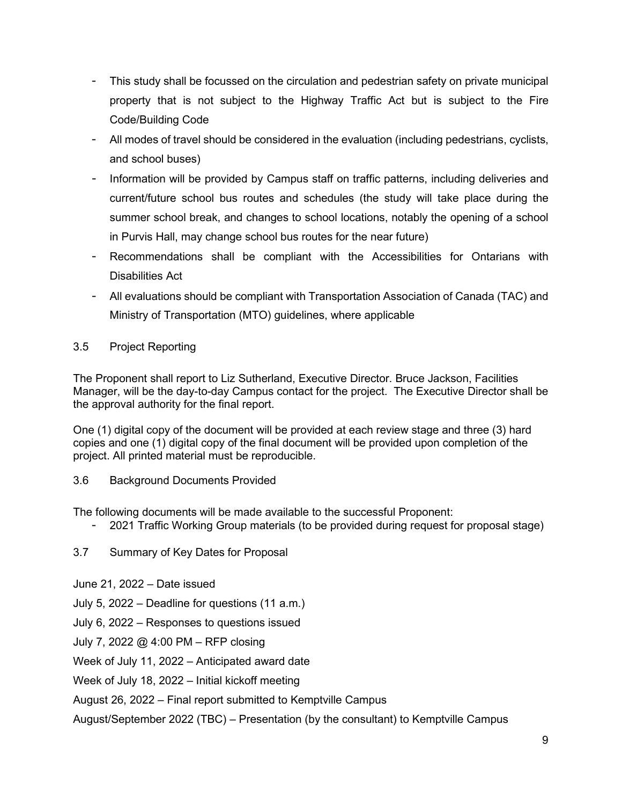- This study shall be focussed on the circulation and pedestrian safety on private municipal property that is not subject to the Highway Traffic Act but is subject to the Fire Code/Building Code
- All modes of travel should be considered in the evaluation (including pedestrians, cyclists, and school buses)
- Information will be provided by Campus staff on traffic patterns, including deliveries and current/future school bus routes and schedules (the study will take place during the summer school break, and changes to school locations, notably the opening of a school in Purvis Hall, may change school bus routes for the near future)
- Recommendations shall be compliant with the Accessibilities for Ontarians with Disabilities Act
- All evaluations should be compliant with Transportation Association of Canada (TAC) and Ministry of Transportation (MTO) guidelines, where applicable

## <span id="page-8-0"></span>3.5 Project Reporting

The Proponent shall report to Liz Sutherland, Executive Director. Bruce Jackson, Facilities Manager, will be the day-to-day Campus contact for the project. The Executive Director shall be the approval authority for the final report.

One (1) digital copy of the document will be provided at each review stage and three (3) hard copies and one (1) digital copy of the final document will be provided upon completion of the project. All printed material must be reproducible.

<span id="page-8-1"></span>3.6 Background Documents Provided

The following documents will be made available to the successful Proponent:

- 2021 Traffic Working Group materials (to be provided during request for proposal stage)
- <span id="page-8-2"></span>3.7 Summary of Key Dates for Proposal
- June 21, 2022 Date issued
- July 5, 2022 Deadline for questions (11 a.m.)

July 6, 2022 – Responses to questions issued

July 7, 2022 @ 4:00 PM – RFP closing

Week of July 11, 2022 – Anticipated award date

Week of July 18, 2022 – Initial kickoff meeting

August 26, 2022 – Final report submitted to Kemptville Campus

August/September 2022 (TBC) – Presentation (by the consultant) to Kemptville Campus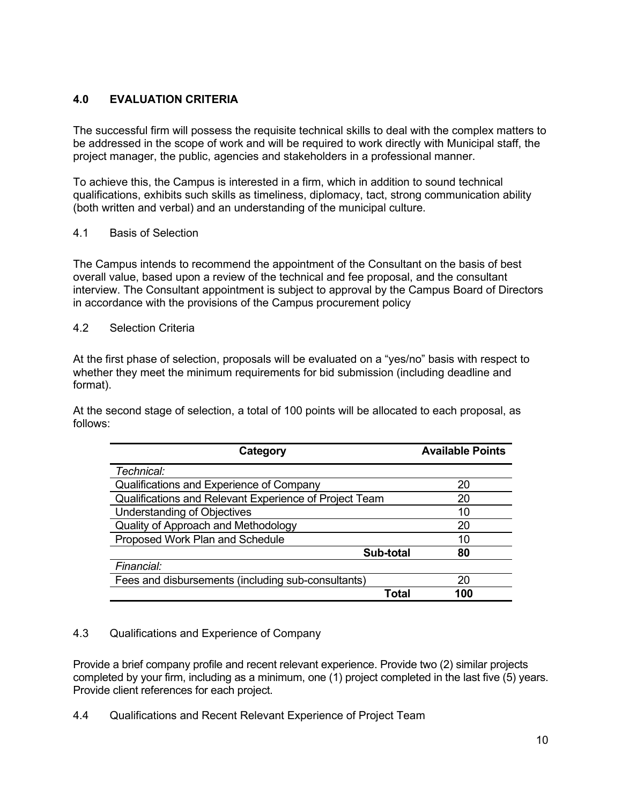## <span id="page-9-0"></span>**4.0 EVALUATION CRITERIA**

The successful firm will possess the requisite technical skills to deal with the complex matters to be addressed in the scope of work and will be required to work directly with Municipal staff, the project manager, the public, agencies and stakeholders in a professional manner.

To achieve this, the Campus is interested in a firm, which in addition to sound technical qualifications, exhibits such skills as timeliness, diplomacy, tact, strong communication ability (both written and verbal) and an understanding of the municipal culture.

## <span id="page-9-1"></span>4.1 Basis of Selection

The Campus intends to recommend the appointment of the Consultant on the basis of best overall value, based upon a review of the technical and fee proposal, and the consultant interview. The Consultant appointment is subject to approval by the Campus Board of Directors in accordance with the provisions of the Campus procurement policy

#### <span id="page-9-2"></span>4.2 Selection Criteria

At the first phase of selection, proposals will be evaluated on a "yes/no" basis with respect to whether they meet the minimum requirements for bid submission (including deadline and format).

At the second stage of selection, a total of 100 points will be allocated to each proposal, as follows:

| Category                                               | <b>Available Points</b> |  |
|--------------------------------------------------------|-------------------------|--|
| Technical:                                             |                         |  |
| Qualifications and Experience of Company               | 20                      |  |
| Qualifications and Relevant Experience of Project Team | 20                      |  |
| <b>Understanding of Objectives</b>                     | 10                      |  |
| Quality of Approach and Methodology                    | 20                      |  |
| Proposed Work Plan and Schedule                        | 10                      |  |
| Sub-total                                              | 80                      |  |
| Financial:                                             |                         |  |
| Fees and disbursements (including sub-consultants)     | 20                      |  |
| Total                                                  | 100                     |  |

## <span id="page-9-3"></span>4.3 Qualifications and Experience of Company

Provide a brief company profile and recent relevant experience. Provide two (2) similar projects completed by your firm, including as a minimum, one (1) project completed in the last five (5) years. Provide client references for each project.

<span id="page-9-4"></span>4.4 Qualifications and Recent Relevant Experience of Project Team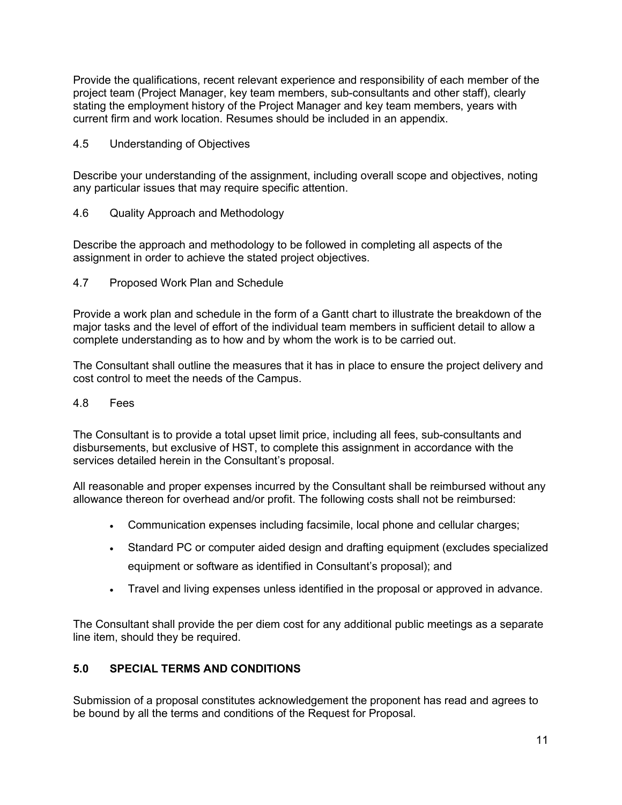Provide the qualifications, recent relevant experience and responsibility of each member of the project team (Project Manager, key team members, sub-consultants and other staff), clearly stating the employment history of the Project Manager and key team members, years with current firm and work location. Resumes should be included in an appendix.

#### <span id="page-10-0"></span>4.5 Understanding of Objectives

Describe your understanding of the assignment, including overall scope and objectives, noting any particular issues that may require specific attention.

## <span id="page-10-1"></span>4.6 Quality Approach and Methodology

Describe the approach and methodology to be followed in completing all aspects of the assignment in order to achieve the stated project objectives.

<span id="page-10-2"></span>4.7 Proposed Work Plan and Schedule

Provide a work plan and schedule in the form of a Gantt chart to illustrate the breakdown of the major tasks and the level of effort of the individual team members in sufficient detail to allow a complete understanding as to how and by whom the work is to be carried out.

The Consultant shall outline the measures that it has in place to ensure the project delivery and cost control to meet the needs of the Campus.

#### <span id="page-10-3"></span>4.8 Fees

The Consultant is to provide a total upset limit price, including all fees, sub-consultants and disbursements, but exclusive of HST, to complete this assignment in accordance with the services detailed herein in the Consultant's proposal.

All reasonable and proper expenses incurred by the Consultant shall be reimbursed without any allowance thereon for overhead and/or profit. The following costs shall not be reimbursed:

- Communication expenses including facsimile, local phone and cellular charges;
- Standard PC or computer aided design and drafting equipment (excludes specialized equipment or software as identified in Consultant's proposal); and
- Travel and living expenses unless identified in the proposal or approved in advance.

The Consultant shall provide the per diem cost for any additional public meetings as a separate line item, should they be required.

## <span id="page-10-4"></span>**5.0 SPECIAL TERMS AND CONDITIONS**

Submission of a proposal constitutes acknowledgement the proponent has read and agrees to be bound by all the terms and conditions of the Request for Proposal.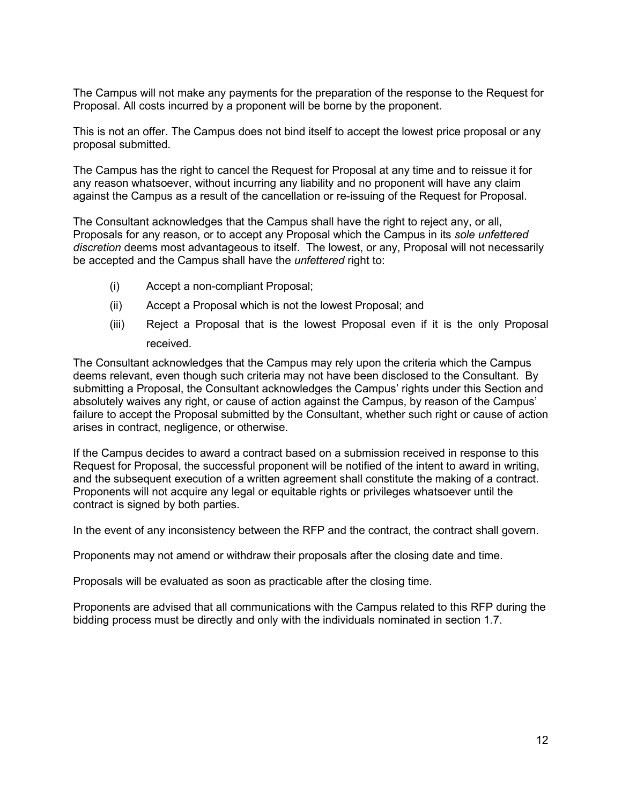The Campus will not make any payments for the preparation of the response to the Request for Proposal. All costs incurred by a proponent will be borne by the proponent.

This is not an offer. The Campus does not bind itself to accept the lowest price proposal or any proposal submitted.

The Campus has the right to cancel the Request for Proposal at any time and to reissue it for any reason whatsoever, without incurring any liability and no proponent will have any claim against the Campus as a result of the cancellation or re-issuing of the Request for Proposal.

The Consultant acknowledges that the Campus shall have the right to reject any, or all, Proposals for any reason, or to accept any Proposal which the Campus in its *sole unfettered discretion* deems most advantageous to itself. The lowest, or any, Proposal will not necessarily be accepted and the Campus shall have the *unfettered* right to:

- (i) Accept a non-compliant Proposal;
- (ii) Accept a Proposal which is not the lowest Proposal; and
- (iii) Reject a Proposal that is the lowest Proposal even if it is the only Proposal received.

The Consultant acknowledges that the Campus may rely upon the criteria which the Campus deems relevant, even though such criteria may not have been disclosed to the Consultant. By submitting a Proposal, the Consultant acknowledges the Campus' rights under this Section and absolutely waives any right, or cause of action against the Campus, by reason of the Campus' failure to accept the Proposal submitted by the Consultant, whether such right or cause of action arises in contract, negligence, or otherwise.

If the Campus decides to award a contract based on a submission received in response to this Request for Proposal, the successful proponent will be notified of the intent to award in writing, and the subsequent execution of a written agreement shall constitute the making of a contract. Proponents will not acquire any legal or equitable rights or privileges whatsoever until the contract is signed by both parties.

In the event of any inconsistency between the RFP and the contract, the contract shall govern.

Proponents may not amend or withdraw their proposals after the closing date and time.

Proposals will be evaluated as soon as practicable after the closing time.

Proponents are advised that all communications with the Campus related to this RFP during the bidding process must be directly and only with the individuals nominated in section 1.7.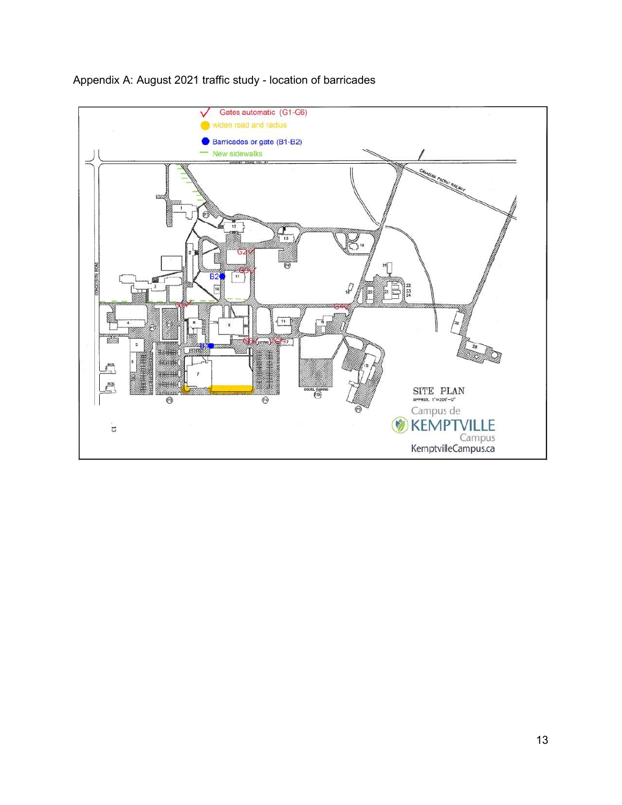

## Appendix A: August 2021 traffic study - location of barricades